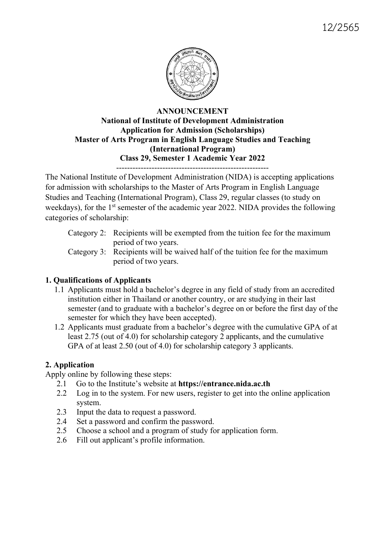

## ANNOUNCEMENT National of Institute of Development Administration Application for Admission (Scholarships) Master of Arts Program in English Language Studies and Teaching (International Program) Class 29, Semester 1 Academic Year 2022 --------------------------------------------------------

The National Institute of Development Administration (NIDA) is accepting applications for admission with scholarships to the Master of Arts Program in English Language Studies and Teaching (International Program), Class 29, regular classes (to study on weekdays), for the 1<sup>st</sup> semester of the academic year 2022. NIDA provides the following categories of scholarship:

| Category 2: Recipients will be exempted from the tuition fee for the maximum  |
|-------------------------------------------------------------------------------|
| period of two years.                                                          |
| Category 3: Recipients will be waived half of the tuition fee for the maximum |
| period of two years.                                                          |

# 1. Qualifications of Applicants

- 1.1 Applicants must hold a bachelor's degree in any field of study from an accredited institution either in Thailand or another country, or are studying in their last semester (and to graduate with a bachelor's degree on or before the first day of the semester for which they have been accepted).
- 1.2 Applicants must graduate from a bachelor's degree with the cumulative GPA of at least 2.75 (out of 4.0) for scholarship category 2 applicants, and the cumulative GPA of at least 2.50 (out of 4.0) for scholarship category 3 applicants.

# 2. Application

Apply online by following these steps:

- 2.1 Go to the Institute's website at https://entrance.nida.ac.th
- 2.2 Log in to the system. For new users, register to get into the online application system.
- 2.3 Input the data to request a password.
- 2.4 Set a password and confirm the password.
- 2.5 Choose a school and a program of study for application form.
- 2.6 Fill out applicant's profile information.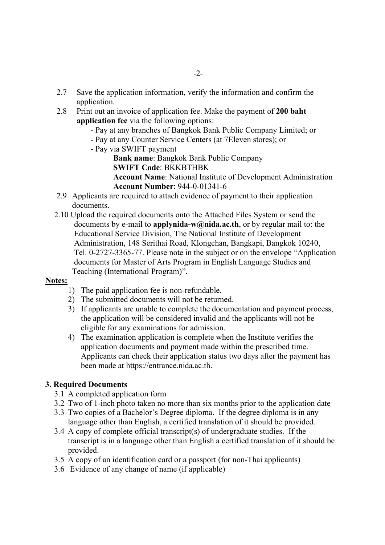- 2.7 Save the application information, verify the information and confirm the application.
- 2.8 Print out an invoice of application fee. Make the payment of 200 baht application fee via the following options:
	- Pay at any branches of Bangkok Bank Public Company Limited; or
	- Pay at any Counter Service Centers (at 7Eleven stores); or
	- Pay via SWIFT payment

Bank name: Bangkok Bank Public Company SWIFT Code: BKKBTHBK

Account Name: National Institute of Development Administration Account Number: 944-0-01341-6

- 2.9 Applicants are required to attach evidence of payment to their application documents.
- 2.10 Upload the required documents onto the Attached Files System or send the documents by e-mail to **applynida-w@nida.ac.th**, or by regular mail to: the Educational Service Division, The National Institute of Development Administration, 148 Serithai Road, Klongchan, Bangkapi, Bangkok 10240, Tel. 0-2727-3365-77. Please note in the subject or on the envelope "Application documents for Master of Arts Program in English Language Studies and Teaching (International Program)".

## Notes:

- 1) The paid application fee is non-refundable.
- 2) The submitted documents will not be returned.
- 3) If applicants are unable to complete the documentation and payment process, the application will be considered invalid and the applicants will not be eligible for any examinations for admission.
- 4) The examination application is complete when the Institute verifies the application documents and payment made within the prescribed time. Applicants can check their application status two days after the payment has been made at https://entrance.nida.ac.th.

## 3. Required Documents

- 3.1 A completed application form
- 3.2 Two of 1-inch photo taken no more than six months prior to the application date
- 3.3 Two copies of a Bachelor's Degree diploma. If the degree diploma is in any language other than English, a certified translation of it should be provided.
- 3.4 A copy of complete official transcript(s) of undergraduate studies. If the transcript is in a language other than English a certified translation of it should be provided.
- 3.5 A copy of an identification card or a passport (for non-Thai applicants)
- 3.6 Evidence of any change of name (if applicable)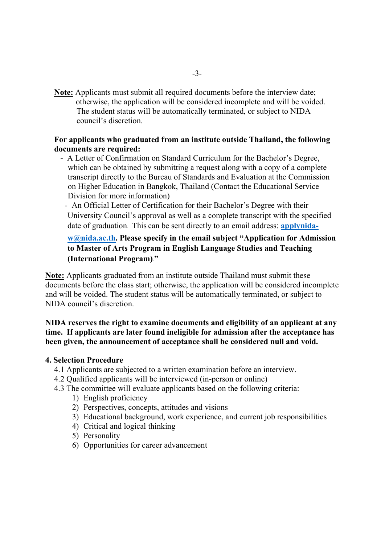Note: Applicants must submit all required documents before the interview date; otherwise, the application will be considered incomplete and will be voided. The student status will be automatically terminated, or subject to NIDA council's discretion.

## For applicants who graduated from an institute outside Thailand, the following documents are required:

- A Letter of Confirmation on Standard Curriculum for the Bachelor's Degree, which can be obtained by submitting a request along with a copy of a complete transcript directly to the Bureau of Standards and Evaluation at the Commission on Higher Education in Bangkok, Thailand (Contact the Educational Service Division for more information)
	- An Official Letter of Certification for their Bachelor's Degree with their University Council's approval as well as a complete transcript with the specified date of graduation. This can be sent directly to an email address: applynida-

## w@nida.ac.th. Please specify in the email subject "Application for Admission to Master of Arts Program in English Language Studies and Teaching (International Program)."

Note: Applicants graduated from an institute outside Thailand must submit these documents before the class start; otherwise, the application will be considered incomplete and will be voided. The student status will be automatically terminated, or subject to NIDA council's discretion.

## NIDA reserves the right to examine documents and eligibility of an applicant at any time. If applicants are later found ineligible for admission after the acceptance has been given, the announcement of acceptance shall be considered null and void.

## 4. Selection Procedure

- 4.1 Applicants are subjected to a written examination before an interview.
- 4.2 Qualified applicants will be interviewed (in-person or online)
- 4.3 The committee will evaluate applicants based on the following criteria:
	- 1) English proficiency
	- 2) Perspectives, concepts, attitudes and visions
	- 3) Educational background, work experience, and current job responsibilities
	- 4) Critical and logical thinking
	- 5) Personality
	- 6) Opportunities for career advancement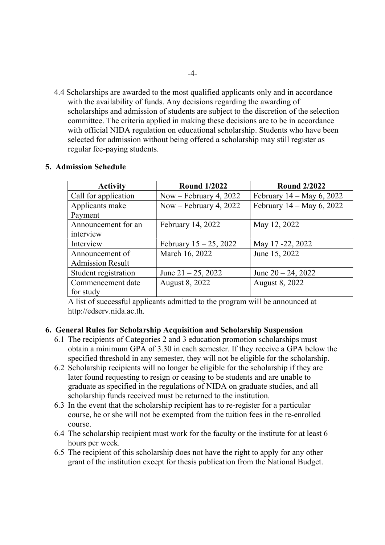4.4 Scholarships are awarded to the most qualified applicants only and in accordance with the availability of funds. Any decisions regarding the awarding of scholarships and admission of students are subject to the discretion of the selection committee. The criteria applied in making these decisions are to be in accordance with official NIDA regulation on educational scholarship. Students who have been selected for admission without being offered a scholarship may still register as regular fee-paying students.

| <b>Activity</b>         | <b>Round 1/2022</b>       | <b>Round 2/2022</b>          |
|-------------------------|---------------------------|------------------------------|
| Call for application    | Now – February 4, 2022    | February $14 - May\ 6, 2022$ |
| Applicants make         | Now – February 4, 2022    | February $14 - May 6, 2022$  |
| Payment                 |                           |                              |
| Announcement for an     | February 14, 2022         | May 12, 2022                 |
| interview               |                           |                              |
| Interview               | February $15 - 25$ , 2022 | May 17-22, 2022              |
| Announcement of         | March 16, 2022            | June 15, 2022                |
| <b>Admission Result</b> |                           |                              |
| Student registration    | June $21 - 25$ , 2022     | June $20 - 24$ , 2022        |
| Commencement date       | August 8, 2022            | August 8, 2022               |
| for study               |                           |                              |

## 5. Admission Schedule

A list of successful applicants admitted to the program will be announced at http://edserv.nida.ac.th.

#### 6. General Rules for Scholarship Acquisition and Scholarship Suspension

- 6.1 The recipients of Categories 2 and 3 education promotion scholarships must obtain a minimum GPA of 3.30 in each semester. If they receive a GPA below the specified threshold in any semester, they will not be eligible for the scholarship.
- 6.2 Scholarship recipients will no longer be eligible for the scholarship if they are later found requesting to resign or ceasing to be students and are unable to graduate as specified in the regulations of NIDA on graduate studies, and all scholarship funds received must be returned to the institution.
- 6.3 In the event that the scholarship recipient has to re-register for a particular course, he or she will not be exempted from the tuition fees in the re-enrolled course.
- 6.4 The scholarship recipient must work for the faculty or the institute for at least 6 hours per week.
- 6.5 The recipient of this scholarship does not have the right to apply for any other grant of the institution except for thesis publication from the National Budget.